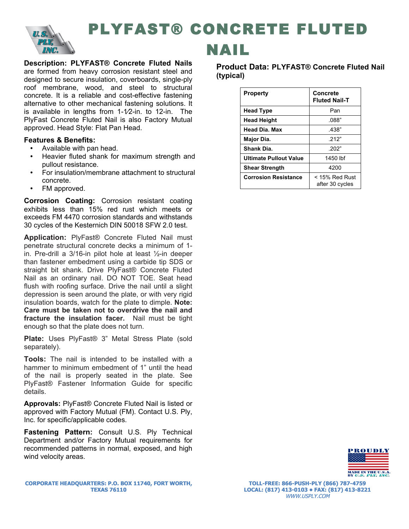

# PLYFAST® CONCRETE FLUTED

**Description: PLYFAST® Concrete Fluted Nails** are formed from heavy corrosion resistant steel and designed to secure insulation, coverboards, single-ply roof membrane, wood, and steel to structural concrete. It is a reliable and cost-effective fastening alternative to other mechanical fastening solutions. It is available in lengths from  $1-\frac{1}{2}$ -in. to  $12$ -in. The PlyFast Concrete Fluted Nail is also Factory Mutual approved. Head Style: Flat Pan Head.

### **Features & Benefits:**

- Available with pan head.
- Heavier fluted shank for maximum strength and pullout resistance.
- For insulation/membrane attachment to structural concrete.
- FM approved.

**Corrosion Coating:** Corrosion resistant coating exhibits less than 15% red rust which meets or exceeds FM 4470 corrosion standards and withstands 30 cycles of the Kesternich DIN 50018 SFW 2.0 test.

**Application:** PlyFast® Concrete Fluted Nail must penetrate structural concrete decks a minimum of 1 in. Pre-drill a 3/16-in pilot hole at least ½-in deeper than fastener embedment using a carbide tip SDS or straight bit shank. Drive PlyFast® Concrete Fluted Nail as an ordinary nail. DO NOT TOE. Seat head flush with roofing surface. Drive the nail until a slight depression is seen around the plate, or with very rigid insulation boards, watch for the plate to dimple. **Note: Care must be taken not to overdrive the nail and fracture the insulation facer.** Nail must be tight enough so that the plate does not turn.

**Plate:** Uses PlyFast® 3" Metal Stress Plate (sold separately).

**Tools:** The nail is intended to be installed with a hammer to minimum embedment of 1" until the head of the nail is properly seated in the plate. See PlyFast® Fastener Information Guide for specific details.

**Approvals:** PlyFast® Concrete Fluted Nail is listed or approved with Factory Mutual (FM). Contact U.S. Ply, Inc. for specific/applicable codes.

**Fastening Pattern:** Consult U.S. Ply Technical Department and/or Factory Mutual requirements for recommended patterns in normal, exposed, and high wind velocity areas.

## NAIL

### **Product Data: PLYFAST® Concrete Fluted Nail (typical)**

| <b>Property</b>             | Concrete<br><b>Fluted Nail-T</b>    |  |  |
|-----------------------------|-------------------------------------|--|--|
| <b>Head Type</b>            | Pan                                 |  |  |
| <b>Head Height</b>          | .088"                               |  |  |
| Head Dia, Max               | .438"                               |  |  |
| Major Dia.                  | .212"                               |  |  |
| Shank Dia.                  | 202"                                |  |  |
| Ultimate Pullout Value      | 1450 lbf                            |  |  |
| <b>Shear Strength</b>       | 4200                                |  |  |
| <b>Corrosion Resistance</b> | $<$ 15% Red Rust<br>after 30 cycles |  |  |



**TOLL-FREE: 866-PUSH-PLY (866) 787-4759 LOCAL: (817) 413-0103 • FAX: (817) 413-8221** WWW.USPLY.COM